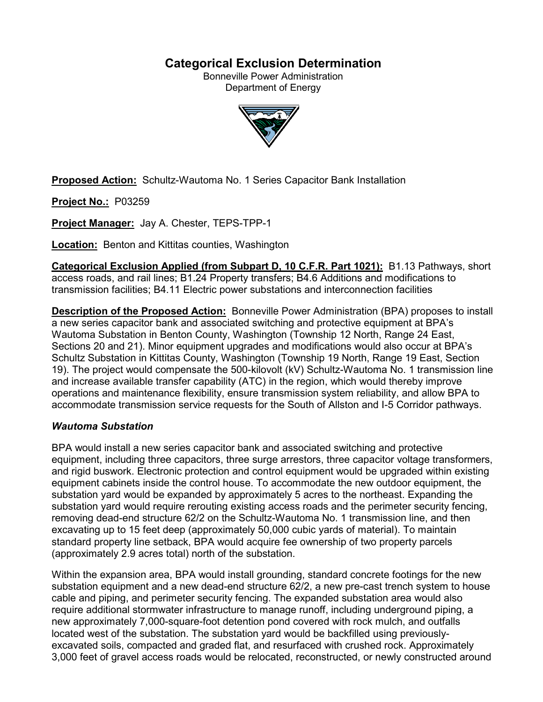# **Categorical Exclusion Determination**

Bonneville Power Administration Department of Energy



**Proposed Action:** Schultz-Wautoma No. 1 Series Capacitor Bank Installation

**Project No.:** P03259

**Project Manager:** Jay A. Chester, TEPS-TPP-1

**Location:** Benton and Kittitas counties, Washington

**Categorical Exclusion Applied (from Subpart D, 10 C.F.R. Part 1021):** B1.13 Pathways, short access roads, and rail lines; B1.24 Property transfers; B4.6 Additions and modifications to transmission facilities; B4.11 Electric power substations and interconnection facilities

**Description of the Proposed Action:** Bonneville Power Administration (BPA) proposes to install a new series capacitor bank and associated switching and protective equipment at BPA's Wautoma Substation in Benton County, Washington (Township 12 North, Range 24 East, Sections 20 and 21). Minor equipment upgrades and modifications would also occur at BPA's Schultz Substation in Kittitas County, Washington (Township 19 North, Range 19 East, Section 19). The project would compensate the 500-kilovolt (kV) Schultz-Wautoma No. 1 transmission line and increase available transfer capability (ATC) in the region, which would thereby improve operations and maintenance flexibility, ensure transmission system reliability, and allow BPA to accommodate transmission service requests for the South of Allston and I-5 Corridor pathways.

# *Wautoma Substation*

BPA would install a new series capacitor bank and associated switching and protective equipment, including three capacitors, three surge arrestors, three capacitor voltage transformers, and rigid buswork. Electronic protection and control equipment would be upgraded within existing equipment cabinets inside the control house. To accommodate the new outdoor equipment, the substation yard would be expanded by approximately 5 acres to the northeast. Expanding the substation yard would require rerouting existing access roads and the perimeter security fencing, removing dead-end structure 62/2 on the Schultz-Wautoma No. 1 transmission line, and then excavating up to 15 feet deep (approximately 50,000 cubic yards of material). To maintain standard property line setback, BPA would acquire fee ownership of two property parcels (approximately 2.9 acres total) north of the substation.

Within the expansion area, BPA would install grounding, standard concrete footings for the new substation equipment and a new dead-end structure 62/2, a new pre-cast trench system to house cable and piping, and perimeter security fencing. The expanded substation area would also require additional stormwater infrastructure to manage runoff, including underground piping, a new approximately 7,000-square-foot detention pond covered with rock mulch, and outfalls located west of the substation. The substation yard would be backfilled using previouslyexcavated soils, compacted and graded flat, and resurfaced with crushed rock. Approximately 3,000 feet of gravel access roads would be relocated, reconstructed, or newly constructed around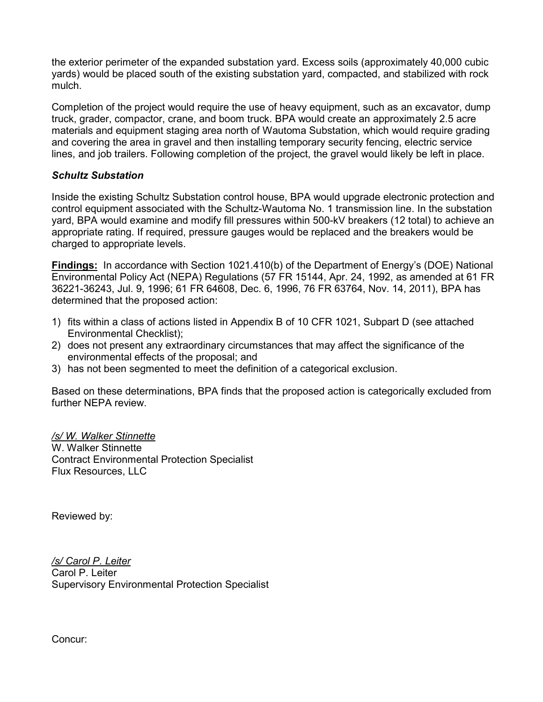the exterior perimeter of the expanded substation yard. Excess soils (approximately 40,000 cubic yards) would be placed south of the existing substation yard, compacted, and stabilized with rock mulch.

Completion of the project would require the use of heavy equipment, such as an excavator, dump truck, grader, compactor, crane, and boom truck. BPA would create an approximately 2.5 acre materials and equipment staging area north of Wautoma Substation, which would require grading and covering the area in gravel and then installing temporary security fencing, electric service lines, and job trailers. Following completion of the project, the gravel would likely be left in place.

## *Schultz Substation*

Inside the existing Schultz Substation control house, BPA would upgrade electronic protection and control equipment associated with the Schultz-Wautoma No. 1 transmission line. In the substation yard, BPA would examine and modify fill pressures within 500-kV breakers (12 total) to achieve an appropriate rating. If required, pressure gauges would be replaced and the breakers would be charged to appropriate levels.

**Findings:** In accordance with Section 1021.410(b) of the Department of Energy's (DOE) National Environmental Policy Act (NEPA) Regulations (57 FR 15144, Apr. 24, 1992, as amended at 61 FR 36221-36243, Jul. 9, 1996; 61 FR 64608, Dec. 6, 1996, 76 FR 63764, Nov. 14, 2011), BPA has determined that the proposed action:

- 1) fits within a class of actions listed in Appendix B of 10 CFR 1021, Subpart D (see attached Environmental Checklist);
- 2) does not present any extraordinary circumstances that may affect the significance of the environmental effects of the proposal; and
- 3) has not been segmented to meet the definition of a categorical exclusion.

Based on these determinations, BPA finds that the proposed action is categorically excluded from further NFPA review

*/s/ W. Walker Stinnette* W. Walker Stinnette Contract Environmental Protection Specialist Flux Resources, LLC

Reviewed by:

*/s/ Carol P. Leiter* Carol P. Leiter Supervisory Environmental Protection Specialist

Concur: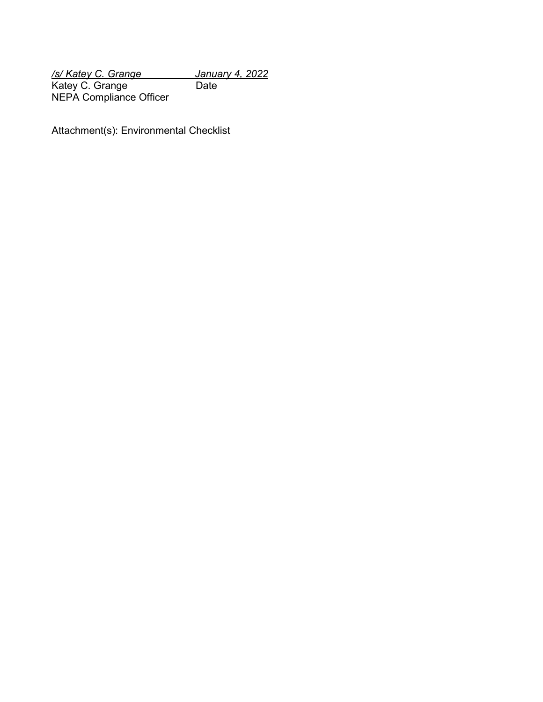*/s/ Katey C. Grange January 4, 2022* Katey C. Grange Date NEPA Compliance Officer

Attachment(s): Environmental Checklist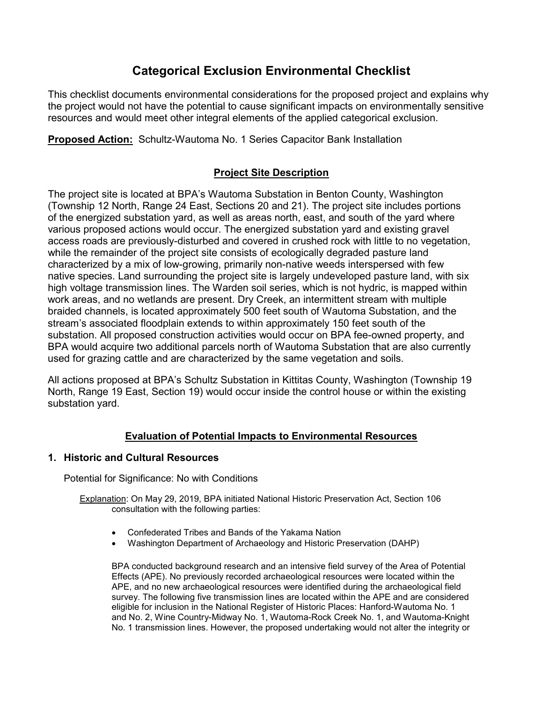# **Categorical Exclusion Environmental Checklist**

This checklist documents environmental considerations for the proposed project and explains why the project would not have the potential to cause significant impacts on environmentally sensitive resources and would meet other integral elements of the applied categorical exclusion.

**Proposed Action:** Schultz-Wautoma No. 1 Series Capacitor Bank Installation

# **Project Site Description**

The project site is located at BPA's Wautoma Substation in Benton County, Washington (Township 12 North, Range 24 East, Sections 20 and 21). The project site includes portions of the energized substation yard, as well as areas north, east, and south of the yard where various proposed actions would occur. The energized substation yard and existing gravel access roads are previously-disturbed and covered in crushed rock with little to no vegetation, while the remainder of the project site consists of ecologically degraded pasture land characterized by a mix of low-growing, primarily non-native weeds interspersed with few native species. Land surrounding the project site is largely undeveloped pasture land, with six high voltage transmission lines. The Warden soil series, which is not hydric, is mapped within work areas, and no wetlands are present. Dry Creek, an intermittent stream with multiple braided channels, is located approximately 500 feet south of Wautoma Substation, and the stream's associated floodplain extends to within approximately 150 feet south of the substation. All proposed construction activities would occur on BPA fee-owned property, and BPA would acquire two additional parcels north of Wautoma Substation that are also currently used for grazing cattle and are characterized by the same vegetation and soils.

All actions proposed at BPA's Schultz Substation in Kittitas County, Washington (Township 19 North, Range 19 East, Section 19) would occur inside the control house or within the existing substation yard.

# **Evaluation of Potential Impacts to Environmental Resources**

## **1. Historic and Cultural Resources**

Potential for Significance: No with Conditions

Explanation: On May 29, 2019, BPA initiated National Historic Preservation Act, Section 106 consultation with the following parties:

- Confederated Tribes and Bands of the Yakama Nation
- Washington Department of Archaeology and Historic Preservation (DAHP)

BPA conducted background research and an intensive field survey of the Area of Potential Effects (APE). No previously recorded archaeological resources were located within the APE, and no new archaeological resources were identified during the archaeological field survey. The following five transmission lines are located within the APE and are considered eligible for inclusion in the National Register of Historic Places: Hanford-Wautoma No. 1 and No. 2, Wine Country-Midway No. 1, Wautoma-Rock Creek No. 1, and Wautoma-Knight No. 1 transmission lines. However, the proposed undertaking would not alter the integrity or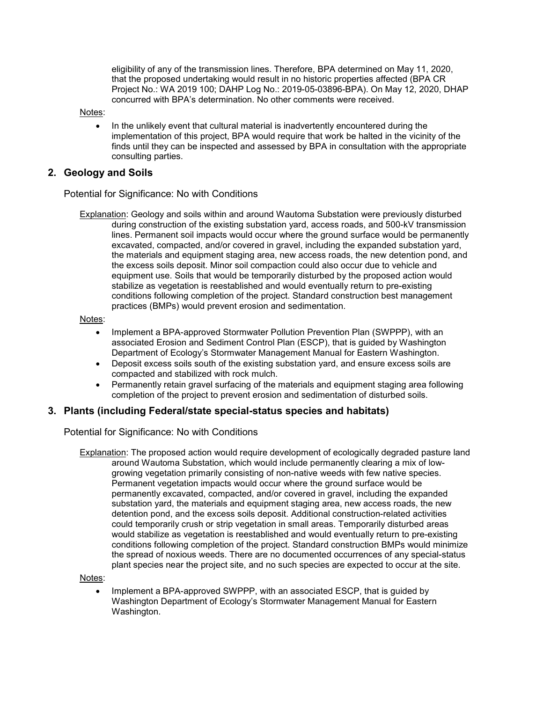eligibility of any of the transmission lines. Therefore, BPA determined on May 11, 2020, that the proposed undertaking would result in no historic properties affected (BPA CR Project No.: WA 2019 100; DAHP Log No.: 2019-05-03896-BPA). On May 12, 2020, DHAP concurred with BPA's determination. No other comments were received.

Notes:

• In the unlikely event that cultural material is inadvertently encountered during the implementation of this project, BPA would require that work be halted in the vicinity of the finds until they can be inspected and assessed by BPA in consultation with the appropriate consulting parties.

#### **2. Geology and Soils**

Potential for Significance: No with Conditions

**Explanation:** Geology and soils within and around Wautoma Substation were previously disturbed during construction of the existing substation yard, access roads, and 500-kV transmission lines. Permanent soil impacts would occur where the ground surface would be permanently excavated, compacted, and/or covered in gravel, including the expanded substation yard, the materials and equipment staging area, new access roads, the new detention pond, and the excess soils deposit. Minor soil compaction could also occur due to vehicle and equipment use. Soils that would be temporarily disturbed by the proposed action would stabilize as vegetation is reestablished and would eventually return to pre-existing conditions following completion of the project. Standard construction best management practices (BMPs) would prevent erosion and sedimentation.

Notes:

- Implement a BPA-approved Stormwater Pollution Prevention Plan (SWPPP), with an associated Erosion and Sediment Control Plan (ESCP), that is guided by Washington Department of Ecology's Stormwater Management Manual for Eastern Washington.
- Deposit excess soils south of the existing substation yard, and ensure excess soils are compacted and stabilized with rock mulch.
- Permanently retain gravel surfacing of the materials and equipment staging area following completion of the project to prevent erosion and sedimentation of disturbed soils.

#### **3. Plants (including Federal/state special-status species and habitats)**

Potential for Significance: No with Conditions

Explanation: The proposed action would require development of ecologically degraded pasture land around Wautoma Substation, which would include permanently clearing a mix of lowgrowing vegetation primarily consisting of non-native weeds with few native species. Permanent vegetation impacts would occur where the ground surface would be permanently excavated, compacted, and/or covered in gravel, including the expanded substation yard, the materials and equipment staging area, new access roads, the new detention pond, and the excess soils deposit. Additional construction-related activities could temporarily crush or strip vegetation in small areas. Temporarily disturbed areas would stabilize as vegetation is reestablished and would eventually return to pre-existing conditions following completion of the project. Standard construction BMPs would minimize the spread of noxious weeds. There are no documented occurrences of any special-status plant species near the project site, and no such species are expected to occur at the site.

Notes:

• Implement a BPA-approved SWPPP, with an associated ESCP, that is guided by Washington Department of Ecology's Stormwater Management Manual for Eastern Washington.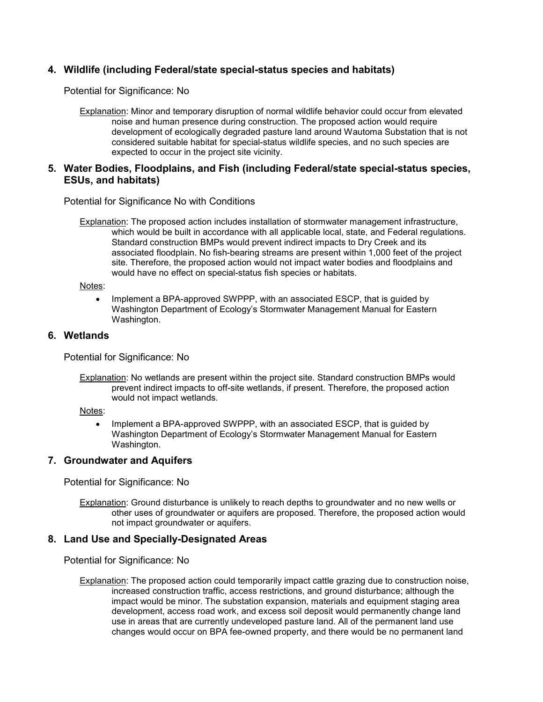## **4. Wildlife (including Federal/state special-status species and habitats)**

Potential for Significance: No

Explanation: Minor and temporary disruption of normal wildlife behavior could occur from elevated noise and human presence during construction. The proposed action would require development of ecologically degraded pasture land around Wautoma Substation that is not considered suitable habitat for special-status wildlife species, and no such species are expected to occur in the project site vicinity.

#### **5. Water Bodies, Floodplains, and Fish (including Federal/state special-status species, ESUs, and habitats)**

Potential for Significance No with Conditions

Explanation: The proposed action includes installation of stormwater management infrastructure, which would be built in accordance with all applicable local, state, and Federal regulations. Standard construction BMPs would prevent indirect impacts to Dry Creek and its associated floodplain. No fish-bearing streams are present within 1,000 feet of the project site. Therefore, the proposed action would not impact water bodies and floodplains and would have no effect on special-status fish species or habitats.

Notes:

• Implement a BPA-approved SWPPP, with an associated ESCP, that is guided by Washington Department of Ecology's Stormwater Management Manual for Eastern Washington.

#### **6. Wetlands**

Potential for Significance: No

Explanation: No wetlands are present within the project site. Standard construction BMPs would prevent indirect impacts to off-site wetlands, if present. Therefore, the proposed action would not impact wetlands.

Notes:

• Implement a BPA-approved SWPPP, with an associated ESCP, that is guided by Washington Department of Ecology's Stormwater Management Manual for Eastern Washington.

#### **7. Groundwater and Aquifers**

Potential for Significance: No

Explanation: Ground disturbance is unlikely to reach depths to groundwater and no new wells or other uses of groundwater or aquifers are proposed. Therefore, the proposed action would not impact groundwater or aquifers.

#### **8. Land Use and Specially-Designated Areas**

Potential for Significance: No

Explanation: The proposed action could temporarily impact cattle grazing due to construction noise, increased construction traffic, access restrictions, and ground disturbance; although the impact would be minor. The substation expansion, materials and equipment staging area development, access road work, and excess soil deposit would permanently change land use in areas that are currently undeveloped pasture land. All of the permanent land use changes would occur on BPA fee-owned property, and there would be no permanent land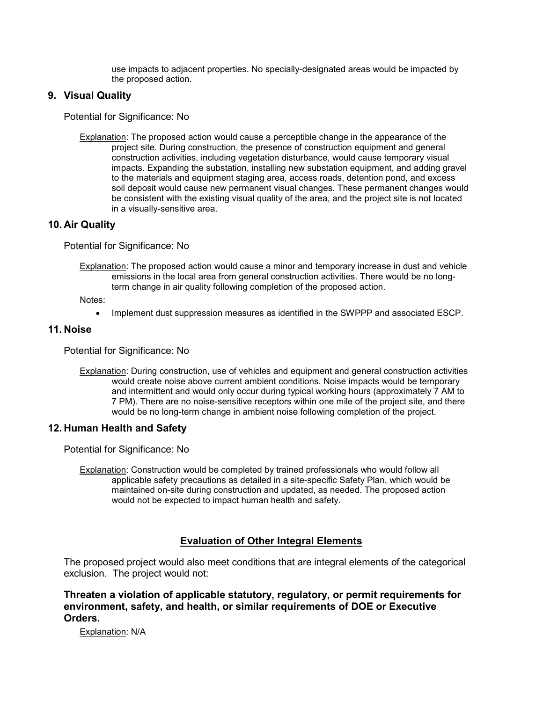use impacts to adjacent properties. No specially-designated areas would be impacted by the proposed action.

## **9. Visual Quality**

Potential for Significance: No

Explanation: The proposed action would cause a perceptible change in the appearance of the project site. During construction, the presence of construction equipment and general construction activities, including vegetation disturbance, would cause temporary visual impacts. Expanding the substation, installing new substation equipment, and adding gravel to the materials and equipment staging area, access roads, detention pond, and excess soil deposit would cause new permanent visual changes. These permanent changes would be consistent with the existing visual quality of the area, and the project site is not located in a visually-sensitive area.

#### **10. Air Quality**

Potential for Significance: No

Explanation: The proposed action would cause a minor and temporary increase in dust and vehicle emissions in the local area from general construction activities. There would be no longterm change in air quality following completion of the proposed action.

Notes:

• Implement dust suppression measures as identified in the SWPPP and associated ESCP.

#### **11. Noise**

Potential for Significance: No

Explanation: During construction, use of vehicles and equipment and general construction activities would create noise above current ambient conditions. Noise impacts would be temporary and intermittent and would only occur during typical working hours (approximately 7 AM to 7 PM). There are no noise-sensitive receptors within one mile of the project site, and there would be no long-term change in ambient noise following completion of the project.

#### **12. Human Health and Safety**

Potential for Significance: No

Explanation: Construction would be completed by trained professionals who would follow all applicable safety precautions as detailed in a site-specific Safety Plan, which would be maintained on-site during construction and updated, as needed. The proposed action would not be expected to impact human health and safety.

## **Evaluation of Other Integral Elements**

The proposed project would also meet conditions that are integral elements of the categorical exclusion. The project would not:

**Threaten a violation of applicable statutory, regulatory, or permit requirements for environment, safety, and health, or similar requirements of DOE or Executive Orders.**

Explanation: N/A